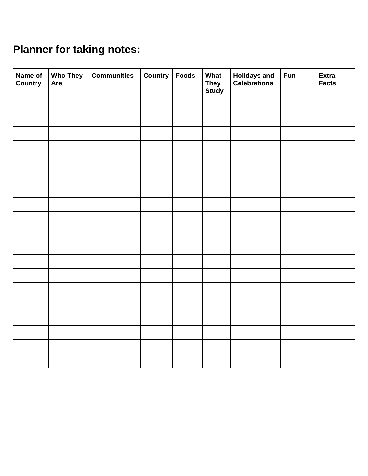## **Planner for taking notes:**

| Name of<br>Country | <b>Who They</b><br>Are | <b>Communities</b> | <b>Country</b> | <b>Foods</b> | What<br><b>They</b><br>Study | <b>Holidays and<br/>Celebrations</b> | <b>Fun</b> | <b>Extra</b><br><b>Facts</b> |
|--------------------|------------------------|--------------------|----------------|--------------|------------------------------|--------------------------------------|------------|------------------------------|
|                    |                        |                    |                |              |                              |                                      |            |                              |
|                    |                        |                    |                |              |                              |                                      |            |                              |
|                    |                        |                    |                |              |                              |                                      |            |                              |
|                    |                        |                    |                |              |                              |                                      |            |                              |
|                    |                        |                    |                |              |                              |                                      |            |                              |
|                    |                        |                    |                |              |                              |                                      |            |                              |
|                    |                        |                    |                |              |                              |                                      |            |                              |
|                    |                        |                    |                |              |                              |                                      |            |                              |
|                    |                        |                    |                |              |                              |                                      |            |                              |
|                    |                        |                    |                |              |                              |                                      |            |                              |
|                    |                        |                    |                |              |                              |                                      |            |                              |
|                    |                        |                    |                |              |                              |                                      |            |                              |
|                    |                        |                    |                |              |                              |                                      |            |                              |
|                    |                        |                    |                |              |                              |                                      |            |                              |
|                    |                        |                    |                |              |                              |                                      |            |                              |
|                    |                        |                    |                |              |                              |                                      |            |                              |
|                    |                        |                    |                |              |                              |                                      |            |                              |
|                    |                        |                    |                |              |                              |                                      |            |                              |
|                    |                        |                    |                |              |                              |                                      |            |                              |